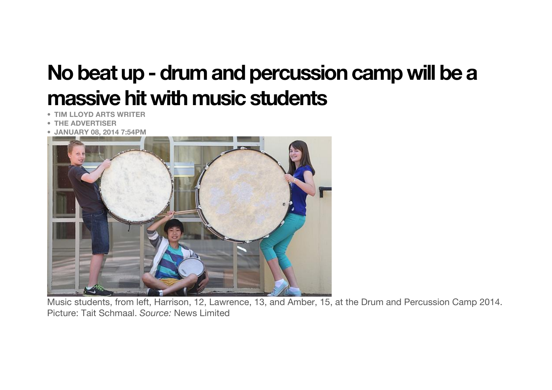## **No beat up - drum and percussion camp will be a massive hit with music students**

- **TIM LLOYD ARTS WRITER**
- **THE ADVERTISER**
- **JANUARY 08, 2014 7:54PM**



Music students, from left, Harrison, 12, Lawrence, 13, and Amber, 15, at the Drum and Percussion Camp 2014. Picture: Tait Schmaal. *Source:* News Limited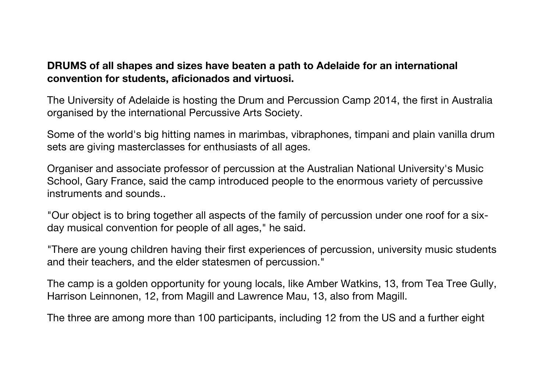## **DRUMS of all shapes and sizes have beaten a path to Adelaide for an international convention for students, aficionados and virtuosi.**

The University of Adelaide is hosting the Drum and Percussion Camp 2014, the first in Australia organised by the international Percussive Arts Society.

Some of the world's big hitting names in marimbas, vibraphones, timpani and plain vanilla drum sets are giving masterclasses for enthusiasts of all ages.

Organiser and associate professor of percussion at the Australian National University's Music School, Gary France, said the camp introduced people to the enormous variety of percussive instruments and sounds..

"Our object is to bring together all aspects of the family of percussion under one roof for a sixday musical convention for people of all ages," he said.

"There are young children having their first experiences of percussion, university music students and their teachers, and the elder statesmen of percussion."

The camp is a golden opportunity for young locals, like Amber Watkins, 13, from Tea Tree Gully, Harrison Leinnonen, 12, from Magill and Lawrence Mau, 13, also from Magill.

The three are among more than 100 participants, including 12 from the US and a further eight